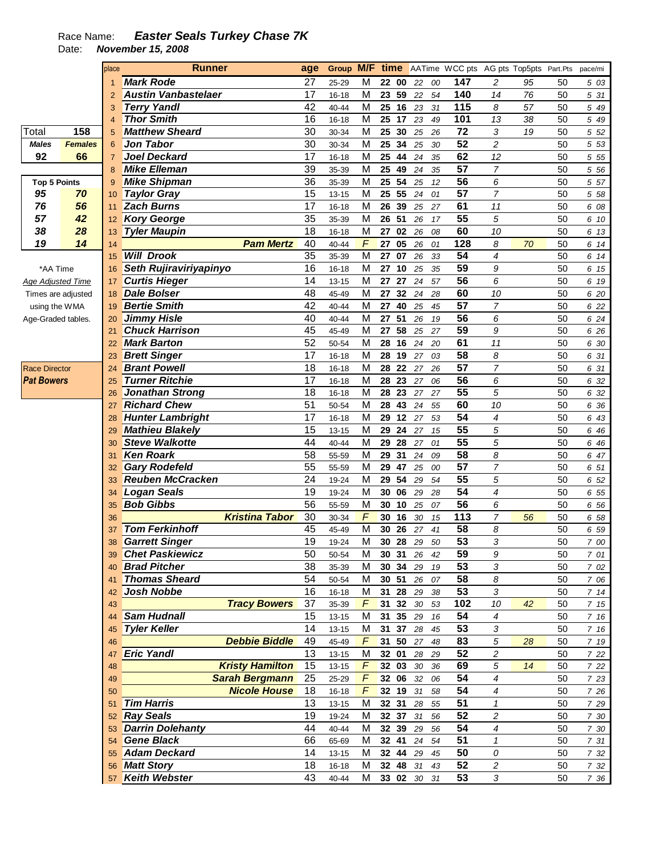## Race Name: **Easter Seals Turkey Chase 7K**

Date: **November 15, 2008** 

|                      |                | place           | <b>Runner</b>              | age |           |   |          |        |    | <b>Group M/F time</b> AATime WCC pts AG pts Top5pts Part.Pts pace/mi |                          |    |    |       |
|----------------------|----------------|-----------------|----------------------------|-----|-----------|---|----------|--------|----|----------------------------------------------------------------------|--------------------------|----|----|-------|
|                      |                |                 | <b>Mark Rode</b>           | 27  | 25-29     | М | 22 00    | 22     | 00 | 147                                                                  | $\overline{c}$           | 95 | 50 | 5 03  |
|                      |                | $\overline{2}$  | <b>Austin Vanbastelaer</b> | 17  | $16 - 18$ | M | 23 59    | 22     | 54 | 140                                                                  | 14                       | 76 | 50 | 5 31  |
|                      |                | 3               | <b>Terry Yandl</b>         | 42  | 40-44     | M | 25 16    | 23     | 31 | 115                                                                  | 8                        | 57 | 50 | 5 49  |
|                      |                | $\overline{4}$  | <b>Thor Smith</b>          | 16  | $16 - 18$ | M | 25<br>17 | 23     | 49 | 101                                                                  | 13                       | 38 | 50 | 5 49  |
| Total                | 158            | 5               | <b>Matthew Sheard</b>      | 30  | 30-34     | M | 25<br>30 | 25     | 26 | 72                                                                   | 3                        | 19 | 50 | 5 52  |
| <b>Males</b>         | <b>Females</b> | $6\phantom{1}6$ | <b>Jon Tabor</b>           | 30  | 30-34     | M | 25<br>34 | 25     | 30 | 52                                                                   | 2                        |    | 50 | 5 53  |
| 92                   | 66             | $\overline{7}$  | <b>Joel Deckard</b>        | 17  | 16-18     | M | 25<br>44 | 24     | 35 | 62                                                                   | 12                       |    | 50 | 5 5 5 |
|                      |                |                 | <b>Mike Elleman</b>        | 39  |           | M | 49       |        |    | 57                                                                   | $\overline{7}$           |    |    |       |
|                      |                | 8               |                            |     | 35-39     |   | 25       | 24     | 35 |                                                                      |                          |    | 50 | 5 56  |
| <b>Top 5 Points</b>  |                | 9               | <b>Mike Shipman</b>        | 36  | 35-39     | M | 25<br>54 | 25     | 12 | $\overline{56}$                                                      | 6                        |    | 50 | 5 57  |
| 95                   | 70             | 10              | <b>Taylor Gray</b>         | 15  | $13 - 15$ | M | 25<br>55 | 24     | 01 | $\overline{57}$                                                      | $\overline{7}$           |    | 50 | 5 58  |
| 76                   | 56             | 11              | <b>Zach Burns</b>          | 17  | $16 - 18$ | M | 26<br>39 | 25     | 27 | 61                                                                   | 11                       |    | 50 | 6 08  |
| 57                   | 42             | 12              | <b>Kory George</b>         | 35  | 35-39     | M | 26<br>51 | 26     | 17 | $\overline{55}$                                                      | 5                        |    | 50 | 6 10  |
| 38                   | 28             | 13              | <b>Tyler Maupin</b>        | 18  | $16 - 18$ | M | 27 02    | 26     | 08 | 60                                                                   | 10                       |    | 50 | 6 13  |
| 19                   | 14             | 14              | <b>Pam Mertz</b>           | 40  | 40-44     | F | 27<br>05 | 26     | 01 | 128                                                                  | 8                        | 70 | 50 | 6 14  |
|                      |                | 15              | <b>Will Drook</b>          | 35  | 35-39     | M | 27<br>07 | 26     | 33 | $\overline{54}$                                                      | 4                        |    | 50 | 6 14  |
| *AA Time             |                | 16              | Seth Rujiraviriyapinyo     | 16  | 16-18     | M | 27<br>10 | 25     | 35 | 59                                                                   | 9                        |    | 50 | 6 15  |
| Age Adjusted Time    |                | 17              | <b>Curtis Hieger</b>       | 14  | $13 - 15$ | M | 27<br>27 | 24     | 57 | 56                                                                   | 6                        |    | 50 | 6 19  |
| Times are adjusted   |                | 18              | <b>Dale Bolser</b>         | 48  | 45-49     | M | 27<br>32 | 24     | 28 | 60                                                                   | 10                       |    | 50 | 6 20  |
| using the WMA        |                | 19              | <b>Bertie Smith</b>        | 42  | 40-44     | М | 27 40    | 25     | 45 | 57                                                                   | 7                        |    | 50 | 6 22  |
| Age-Graded tables.   |                | 20              | <b>Jimmy Hisle</b>         | 40  | 40-44     | M | 27 51    | 26     | 19 | 56                                                                   | 6                        |    | 50 | 6 24  |
|                      |                | 21              | <b>Chuck Harrison</b>      | 45  | 45-49     | M | 27 58    | 25     | 27 | $\overline{59}$                                                      | 9                        |    | 50 | 6 26  |
|                      |                | 22              | <b>Mark Barton</b>         | 52  | 50-54     | M | 28<br>16 | 24     | 20 | 61                                                                   | 11                       |    | 50 | 6 30  |
|                      |                |                 | <b>Brett Singer</b>        | 17  |           | M | 28<br>19 |        | 03 | 58                                                                   | 8                        |    | 50 |       |
|                      |                | 23              | <b>Brant Powell</b>        | 18  | $16 - 18$ | M | 28 22    | 27     |    | $\overline{57}$                                                      | $\overline{7}$           |    |    | 6 31  |
| <b>Race Director</b> |                | 24              |                            |     | 16-18     |   |          | 27     | 26 |                                                                      |                          |    | 50 | 6 31  |
| <b>Pat Bowers</b>    |                | 25              | <b>Turner Ritchie</b>      | 17  | 16-18     | M | 28<br>23 | 27     | 06 | 56                                                                   | 6                        |    | 50 | 6 32  |
|                      |                | 26              | <b>Jonathan Strong</b>     | 18  | $16 - 18$ | M | 28<br>23 | 27     | 27 | $\overline{55}$                                                      | 5                        |    | 50 | 6 32  |
|                      |                | 27              | <b>Richard Chew</b>        | 51  | 50-54     | M | 28<br>43 | 24     | 55 | 60                                                                   | 10                       |    | 50 | 6 36  |
|                      |                | 28              | <b>Hunter Lambright</b>    | 17  | 16-18     | M | 29<br>12 | 27     | 53 | 54                                                                   | 4                        |    | 50 | 6 43  |
|                      |                | 29              | <b>Mathieu Blakely</b>     | 15  | 13-15     | M | 29<br>24 | 27     | 15 | 55                                                                   | 5                        |    | 50 | 6 46  |
|                      |                | 30              | <b>Steve Walkotte</b>      | 44  | $40 - 44$ | M | 29<br>28 | 27     | 01 | 55                                                                   | 5                        |    | 50 | 6 46  |
|                      |                | 31              | <b>Ken Roark</b>           | 58  | 55-59     | M | 29<br>31 | 24     | 09 | 58                                                                   | 8                        |    | 50 | 6 47  |
|                      |                | 32              | <b>Gary Rodefeld</b>       | 55  | 55-59     | M | 29<br>47 | 25     | 00 | $\overline{57}$                                                      | 7                        |    | 50 | 6 51  |
|                      |                | 33              | <b>Reuben McCracken</b>    | 24  | 19-24     | M | 29<br>54 | 29     | 54 | 55                                                                   | 5                        |    | 50 | 6 52  |
|                      |                | 34              | <b>Logan Seals</b>         | 19  | 19-24     | M | 30<br>06 | 29     | 28 | $\overline{54}$                                                      | $\overline{\mathcal{A}}$ |    | 50 | 6 55  |
|                      |                | 35              | <b>Bob Gibbs</b>           | 56  | 55-59     | M | 30<br>10 | 25     | 07 | $\overline{56}$                                                      | 6                        |    | 50 | 6 56  |
|                      |                | 36              | <b>Kristina Tabor</b>      | 30  | 30-34     | F | 30<br>16 | 30     | 15 | 113                                                                  | 7                        | 56 | 50 | 6 58  |
|                      |                | 37              | <b>Tom Ferkinhoff</b>      | 45  | 45-49     | M | 30<br>26 | 27     | 41 | 58                                                                   | 8                        |    | 50 | 6 59  |
|                      |                | 38              | <b>Garrett Singer</b>      | 19  | 19-24     | M | 30<br>28 | 29     | 50 | 53                                                                   | 3                        |    | 50 | 7 00  |
|                      |                | 39              | <b>Chet Paskiewicz</b>     | 50  | 50-54     | M | 30 31    | 26     | 42 | 59                                                                   | 9                        |    | 50 | 7 01  |
|                      |                |                 | <b>Brad Pitcher</b>        | 38  | 35-39     | M | 30 34    | 29     | 19 | 53                                                                   | 3                        |    | 50 |       |
|                      |                | 40              | <b>Thomas Sheard</b>       | 54  |           |   | 30 51    |        |    | 58                                                                   |                          |    |    | 7 02  |
|                      |                | 41              | <b>Josh Nobbe</b>          | 16  | 50-54     | M | 31 28    | 26     | 07 | 53                                                                   | 8                        |    | 50 | 7 06  |
|                      |                | 42              |                            |     | 16-18     | M |          | 29     | 38 |                                                                      | 3                        |    | 50 | 714   |
|                      |                | 43              | <b>Tracy Bowers</b>        | 37  | 35-39     | F | 31 32    | $30\,$ | 53 | 102                                                                  | 10                       | 42 | 50 | 715   |
|                      |                | 44              | <b>Sam Hudnall</b>         | 15  | 13-15     | M | 31 35    | 29     | 16 | 54                                                                   | 4                        |    | 50 | 7 16  |
|                      |                | 45              | <b>Tyler Keller</b>        | 14  | $13 - 15$ | M | 31 37    | 28     | 45 | 53                                                                   | 3                        |    | 50 | 7 16  |
|                      |                | 46              | <b>Debbie Biddle</b>       | 49  | 45-49     | F | 31 50    | 27     | 48 | 83                                                                   | 5                        | 28 | 50 | 7 19  |
|                      |                | 47              | <b>Eric Yandl</b>          | 13  | 13-15     | M | 32 01    | 28     | 29 | 52                                                                   | 2                        |    | 50 | 7 22  |
|                      |                | 48              | <b>Kristy Hamilton</b>     | 15  | 13-15     | F | 32 03    | $30\,$ | 36 | 69                                                                   | 5                        | 14 | 50 | 7 22  |
|                      |                | 49              | <b>Sarah Bergmann</b>      | 25  | 25-29     | F | 32 06    | 32     | 06 | 54                                                                   | 4                        |    | 50 | 7 23  |
|                      |                | 50              | <b>Nicole House</b>        | 18  | 16-18     | F | 32 19    | 31     | 58 | 54                                                                   | 4                        |    | 50 | 7 26  |
|                      |                | 51              | <b>Tim Harris</b>          | 13  | 13-15     | M | 32 31    | 28     | 55 | 51                                                                   | $\mathbf{1}$             |    | 50 | 7 29  |
|                      |                | 52              | <b>Ray Seals</b>           | 19  | 19-24     | M | 32 37    | 31     | 56 | 52                                                                   | 2                        |    | 50 | 7 30  |
|                      |                | 53              | <b>Darrin Dolehanty</b>    | 44  | 40-44     | M | 32 39    | 29     | 56 | 54                                                                   | 4                        |    | 50 | 7 30  |
|                      |                | 54              | <b>Gene Black</b>          | 66  | 65-69     | M | 32 41    | 24     | 54 | 51                                                                   | $\mathbf{1}$             |    | 50 | 7 31  |
|                      |                | 55              | <b>Adam Deckard</b>        | 14  | 13-15     | M | 32 44    | 29     | 45 | 50                                                                   | 0                        |    | 50 | 7 32  |
|                      |                | 56              | <b>Matt Story</b>          | 18  | 16-18     | M | 32 48    | 31     | 43 | 52                                                                   | $\overline{\mathbf{c}}$  |    | 50 | 7 32  |
|                      |                | 57              | <b>Keith Webster</b>       | 43  | 40-44     | М | 33 02 30 |        | 31 | 53                                                                   | $\sqrt{3}$               |    | 50 | 7 36  |
|                      |                |                 |                            |     |           |   |          |        |    |                                                                      |                          |    |    |       |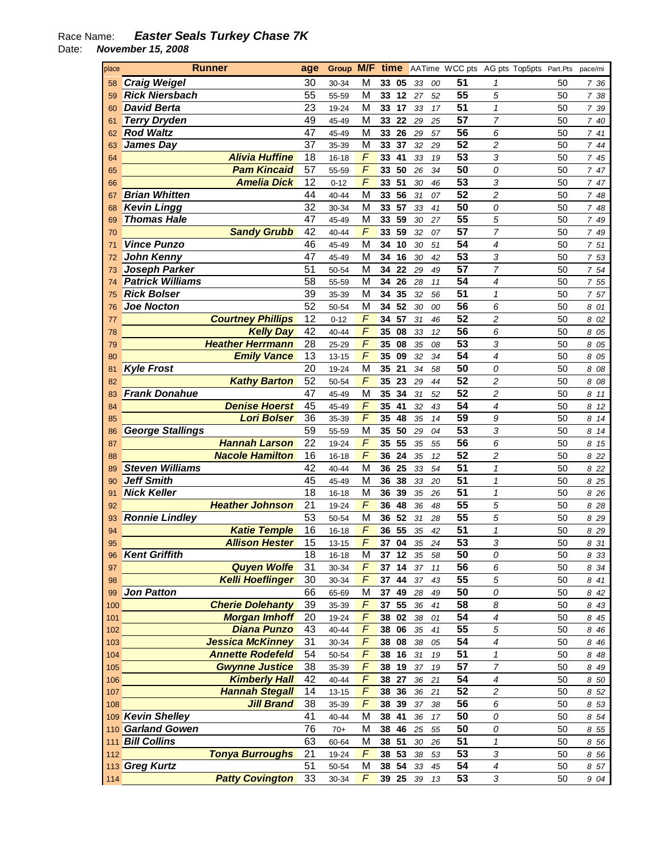## Race Name: **Easter Seals Turkey Chase 7K**

Date: **November 15, 2008** 

| place      | <b>Runner</b>                                 | age      |                |                | Group M/F time       |          |          |          | AATime WCC pts AG pts Top5pts Part.Pts |          | pace/mi         |
|------------|-----------------------------------------------|----------|----------------|----------------|----------------------|----------|----------|----------|----------------------------------------|----------|-----------------|
| 58         | <b>Craig Weigel</b>                           | 30       | 30-34          | M              | 33<br>05             | 33       | 00       | 51       |                                        | 50       | 736             |
| 59         | <b>Rick Niersbach</b>                         | 55       | 55-59          | M              | 12<br>33             | 27       | 52       | 55       | 5                                      | 50       | 7 38            |
| 60         | <b>David Berta</b>                            | 23       | 19-24          | M              | 33<br>17             | 33       | 17       | 51       | 1                                      | 50       | 7 39            |
| 61         | <b>Terry Dryden</b>                           | 49       | 45-49          | M              | 33<br>22             | 29       | 25       | 57       | 7                                      | 50       | 7 40            |
| 62         | <b>Rod Waltz</b>                              | 47       | 45-49          | M              | 33<br>26             | 29       | 57       | 56       | 6                                      | 50       | 7 41            |
| 63         | James Day                                     | 37       | 35-39          | M              | 33<br>37             | 32       | 29       | 52       | $\overline{c}$                         | 50       | 744             |
| 64         | <b>Alivia Huffine</b>                         | 18       | 16-18          | $\sqrt{2}$     | 33<br>41             | 33       | 19       | 53       | 3                                      | 50       | 7 45            |
| 65         | <b>Pam Kincaid</b>                            | 57       | 55-59          | F              | 33<br>50             | 26       | 34       | 50       | 0                                      | 50       | 7 47            |
| 66         | <b>Amelia Dick</b>                            | 12       | $0 - 12$       | $\overline{F}$ | 51<br>33             | 30       | 46       | 53       | 3                                      | 50       | 7 47            |
| 67         | <b>Brian Whitten</b>                          | 44       | 40-44          | M              | 56<br>33             | 31       | 07       | 52       | $\overline{c}$                         | 50       | 7 48            |
| 68         | <b>Kevin Lingg</b>                            | 32       | 30-34          | M              | 33<br>57             | 33       | 41       | 50       | 0                                      | 50       | 7<br>48         |
| 69         | <b>Thomas Hale</b>                            | 47       | 45-49          | M              | 59<br>33             | 30       | 27       | 55       | 5                                      | 50       | 7<br>49         |
| 70         | <b>Sandy Grubb</b>                            | 42       | 40-44          | F              | 33<br>59             | 32       | 07       | 57       | 7                                      | 50       | 7 49            |
| 71         | <b>Vince Punzo</b>                            | 46       | 45-49          | M              | 34<br>10             | 30       | 51       | 54       | 4                                      | 50       | 7 51            |
| 72         | <b>John Kenny</b>                             | 47       | 45-49          | M              | 34<br>16             | 30       | 42       | 53       | 3                                      | 50       | 7 53            |
| 73         | Joseph Parker                                 | 51       | 50-54          | M              | 34<br>22             | 29       | 49       | 57       | 7                                      | 50       | 7 54            |
| 74         | <b>Patrick Williams</b>                       | 58       | 55-59          | M              | 34<br>26             | 28       | 11       | 54       | 4                                      | 50       | 7 55            |
| 75         | <b>Rick Bolser</b>                            | 39       | 35-39          | M              | 34<br>35             | 32       | 56       | 51       | 1                                      | 50       | 7 57            |
| 76         | <b>Joe Nocton</b><br><b>Courtney Phillips</b> | 52       | 50-54          | M<br>F         | 52<br>34             | 30       | 00       | 56       | 6                                      | 50       | 8 01            |
| 77         | <b>Kelly Day</b>                              | 12<br>42 | $0 - 12$       | F              | 57<br>34             | 31       | 46       | 52<br>56 | $\overline{c}$                         | 50       | 8 02            |
| 78         | <b>Heather Herrmann</b>                       |          | 40-44          | F              | 08<br>35             | 33       | 12       |          | 6                                      | 50       | 8 05            |
| 79         | <b>Emily Vance</b>                            | 28<br>13 | 25-29          | F              | 08<br>35<br>35<br>09 | 35       | 08       | 53<br>54 | 3<br>4                                 | 50       | 8 05            |
| 80         | <b>Kyle Frost</b>                             | 20       | 13-15<br>19-24 | M              | 35<br>21             | 32<br>34 | 34<br>58 | 50       | 0                                      | 50<br>50 | 8<br>05<br>8 08 |
| 81<br>82   | <b>Kathy Barton</b>                           | 52       | 50-54          | F              | 23<br>35             | 29       | 44       | 52       | 2                                      | 50       | 8 08            |
| 83         | <b>Frank Donahue</b>                          | 47       | 45-49          | M              | 35<br>34             | 31       | 52       | 52       | 2                                      | 50       | 8<br>11         |
| 84         | <b>Denise Hoerst</b>                          | 45       | 45-49          | F              | 35<br>41             | 32       | 43       | 54       | 4                                      | 50       | 8<br>12         |
| 85         | <b>Lori Bolser</b>                            | 36       | 35-39          | F              | 35<br>48             | 35       | 14       | 59       | 9                                      | 50       | 8<br>14         |
| 86         | <b>George Stallings</b>                       | 59       | 55-59          | M              | 35<br>50             | 29       | 04       | 53       | 3                                      | 50       | 8<br>14         |
| 87         | <b>Hannah Larson</b>                          | 22       | 19-24          | F              | 35<br>55             | 35       | 55       | 56       | 6                                      | 50       | $\pmb{8}$<br>15 |
| 88         | <b>Nacole Hamilton</b>                        | 16       | 16-18          | $\sqrt{2}$     | 36<br>24             | 35       | 12       | 52       | 2                                      | 50       | 8 2 2           |
| 89         | <b>Steven Williams</b>                        | 42       | 40-44          | M              | 25<br>36             | 33       | 54       | 51       | $\mathbf{1}$                           | 50       | 8 22            |
| 90         | <b>Jeff Smith</b>                             | 45       | 45-49          | M              | 38<br>36             | 33       | 20       | 51       | $\mathbf{1}$                           | 50       | 8 25            |
| 91         | <b>Nick Keller</b>                            | 18       | 16-18          | M              | 39<br>36             | 35       | 26       | 51       | 1                                      | 50       | 8 26            |
| 92         | <b>Heather Johnson</b>                        | 21       | 19-24          | F              | 36<br>48             | 36       | 48       | 55       | 5                                      | 50       | 8 2 8           |
| 93         | <b>Ronnie Lindley</b>                         | 53       | 50-54          | M              | 52<br>36             | 31       | 28       | 55       | 5                                      | 50       | 8 2 9           |
| 94         | <b>Katie Temple</b>                           | 16       | $16 - 18$      | F              | 55<br>36             | 35       | 42       | 51       | 1                                      | 50       | 8 2 9           |
| 95         | <b>Allison Hester</b>                         | 15       | 13-15          | F              | 37<br>04             | 35       | 24       | 53       | 3                                      | 50       | 8 31            |
| 96         | <b>Kent Griffith</b>                          | 18       | $16 - 18$      | M              | 37<br>12             | 35       | 58       | 50       | 0                                      | 50       | 8 33            |
| 97         | <b>Quyen Wolfe</b>                            | 31       | 30-34          | F              | 14<br>37             | 37       | 11       | 56       | 6                                      | 50       | 8 34            |
| 98         | <b>Kelli Hoeflinger</b>                       | 30       | 30-34          | F              | 37<br>44             | $37\,$   | 43       | 55       | 5                                      | 50       | 8 41            |
| 99         | <b>Jon Patton</b>                             | 66       | 65-69          | M              | 49<br>37             | 28       | 49       | 50       | 0                                      | 50       | 8 42            |
| 100        | <b>Cherie Dolehanty</b>                       | 39       | 35-39          | F              | 55<br>37             | 36       | 41       | 58       | 8                                      | 50       | 8 43            |
| 101        | <b>Morgan Imhoff</b>                          | 20       | 19-24          | F              | 38<br>02             | 38       | 01       | 54       | 4                                      | 50       | 8 45            |
| 102        | <b>Diana Punzo</b>                            | 43       | 40-44          | $\overline{F}$ | 06<br>38             | 35       | 41       | 55       | 5                                      | 50       | 8 4 6           |
| 103        | Jessica McKinney                              | 31       | 30-34          | $\overline{F}$ | 38<br>08             | 38       | 05       | 54       | 4                                      | 50       | 8 4 6           |
| 104        | <b>Annette Rodefeld</b>                       | 54       | 50-54          | F              | 38<br>16             | 31       | 19       | 51       | 1                                      | 50       | 8 48            |
| 105        | <b>Gwynne Justice</b>                         | 38       | 35-39          | $\sqrt{2}$     | 19<br>38             | 37       | 19       | 57       | 7                                      | 50       | 8 4 9           |
| 106        | <b>Kimberly Hall</b>                          | 42       | 40-44          | $\sqrt{2}$     | 38<br>27             | 36       | 21       | 54       | $\boldsymbol{4}$                       | 50       | 8 50            |
| 107        | <b>Hannah Stegall</b>                         | 14       | 13-15          | F<br>F         | 38<br>36             | 36       | 21       | 52       | 2                                      | 50       | 8 52            |
| 108        | <b>Jill Brand</b><br>109 Kevin Shelley        | 38<br>41 | 35-39          | M              | 39<br>38<br>38<br>41 | 37       | 38       | 56<br>50 | 6                                      | 50       | 8 53            |
|            | <b>Garland Gowen</b>                          | 76       | 40-44          | M              | 38<br>46             | 36<br>25 | 17<br>55 | 50       | 0<br>0                                 | 50<br>50 | 8 54            |
| 110<br>111 | <b>Bill Collins</b>                           | 63       | $70+$<br>60-64 | M              | 38<br>51             | $30\,$   | 26       | 51       | 1                                      | 50       | 8 5 5<br>8 56   |
| 112        | <b>Tonya Burroughs</b>                        | 21       | 19-24          | F              | 38<br>53             | 38       | 53       | 53       | 3                                      | 50       | 8 5 6           |
|            | 113 Greg Kurtz                                | 51       | 50-54          | M              | 54<br>38             | 33       | 45       | 54       | 4                                      | 50       | 8 57            |
| 114        | <b>Patty Covington</b>                        | 33       | 30-34          | F              | 39 25                | 39       | 13       | 53       | 3                                      | 50       | 9 04            |